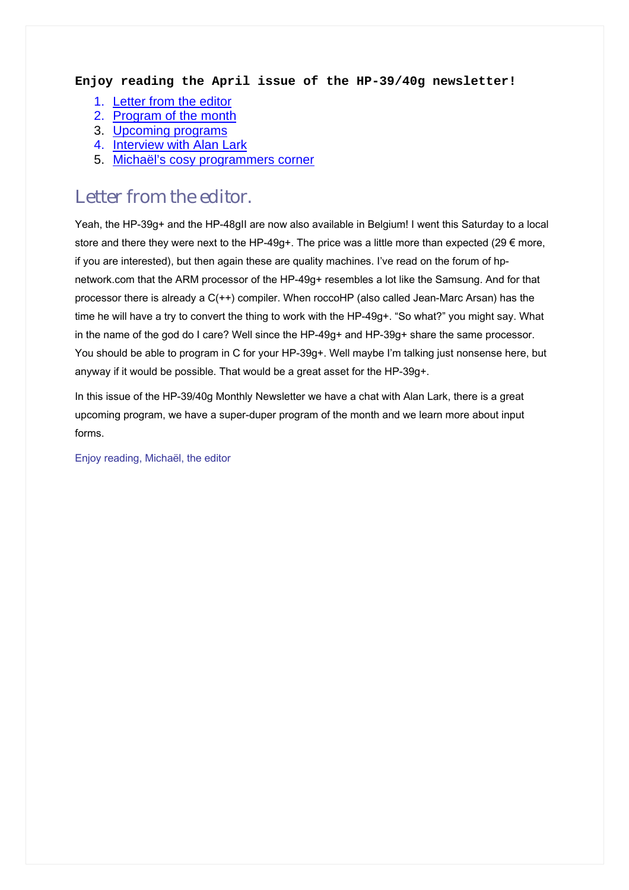#### **Enjoy reading the April issue of the HP-39/40g newsletter!**

- 1. [Letter from the editor](#page-0-0)
- 2. [Program of the month](#page-1-0)
- 3. [Upcoming programs](#page-1-1)
- 4. [Interview with Alan Lark](#page-2-0)
- 5. [Michaël's cosy programmers corner](#page-3-0)

#### <span id="page-0-0"></span>Letter from the editor.

Yeah, the HP-39g+ and the HP-48gII are now also available in Belgium! I went this Saturday to a local store and there they were next to the HP-49g+. The price was a little more than expected (29 € more, if you are interested), but then again these are quality machines. I've read on the forum of hpnetwork.com that the ARM processor of the HP-49g+ resembles a lot like the Samsung. And for that processor there is already a C(++) compiler. When roccoHP (also called Jean-Marc Arsan) has the time he will have a try to convert the thing to work with the HP-49g+. "So what?" you might say. What in the name of the god do I care? Well since the HP-49g+ and HP-39g+ share the same processor. You should be able to program in C for your HP-39g+. Well maybe I'm talking just nonsense here, but anyway if it would be possible. That would be a great asset for the HP-39g+.

In this issue of the HP-39/40g Monthly Newsletter we have a chat with Alan Lark, there is a great upcoming program, we have a super-duper program of the month and we learn more about input forms.

Enjoy reading, Michaël, the editor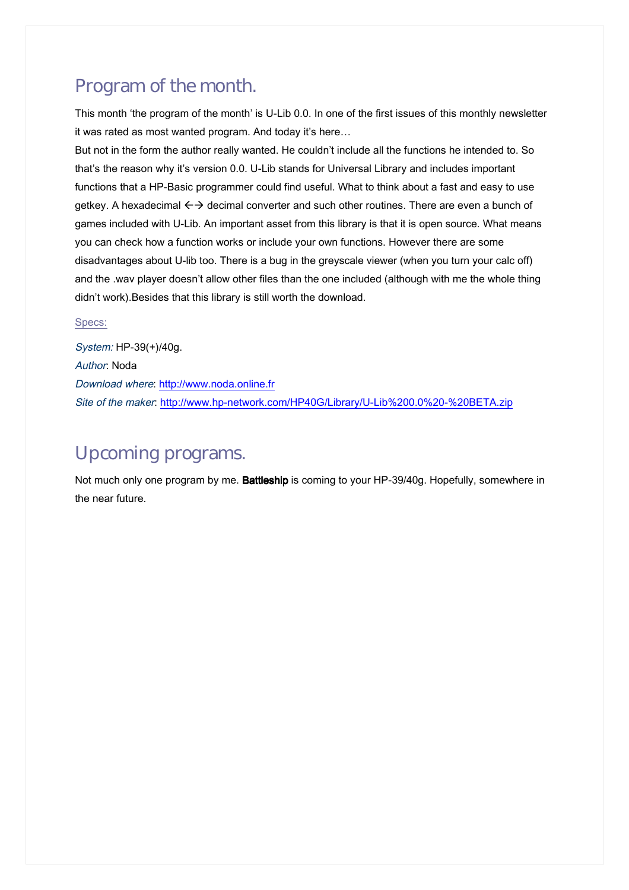## <span id="page-1-1"></span><span id="page-1-0"></span>Program of the month.

This month 'the program of the month' is U-Lib 0.0. In one of the first issues of this monthly newsletter it was rated as most wanted program. And today it's here…

But not in the form the author really wanted. He couldn't include all the functions he intended to. So that's the reason why it's version 0.0. U-Lib stands for Universal Library and includes important functions that a HP-Basic programmer could find useful. What to think about a fast and easy to use getkey. A hexadecimal  $\leftrightarrow$  decimal converter and such other routines. There are even a bunch of games included with U-Lib. An important asset from this library is that it is open source. What means you can check how a function works or include your own functions. However there are some disadvantages about U-lib too. There is a bug in the greyscale viewer (when you turn your calc off) and the .wav player doesn't allow other files than the one included (although with me the whole thing didn't work).Besides that this library is still worth the download.

#### Specs:

System: HP-39(+)/40g. Author: Noda Download where: [http://www.noda.online.fr](http://www.noda.online.fr/)  Site of the maker: [http://www.hp-network.com/HP40G/Library/U-Lib%200.0%20-%20BETA.zip](http://www.hp-network.com/HP40G/Library/U-Lib 0.0 - BETA.zip) 

### Upcoming programs.

Not much only one program by me. Battleship is coming to your HP-39/40g. Hopefully, somewhere in the near future.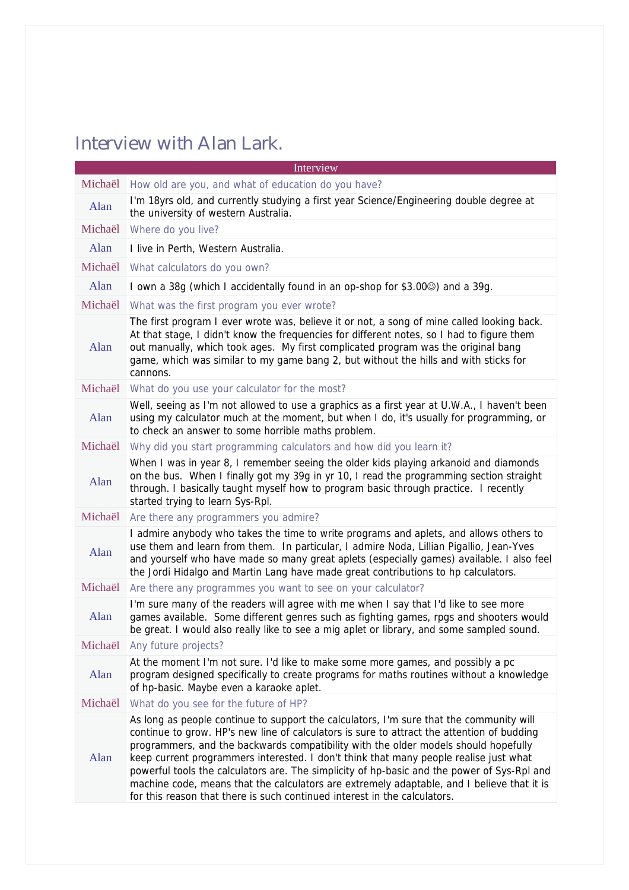# <span id="page-2-0"></span>Interview with Alan Lark.

| Interview |                                                                                                                                                                                                                                                                                                                                                                                                                                                                                                                                                                                                                                                 |  |
|-----------|-------------------------------------------------------------------------------------------------------------------------------------------------------------------------------------------------------------------------------------------------------------------------------------------------------------------------------------------------------------------------------------------------------------------------------------------------------------------------------------------------------------------------------------------------------------------------------------------------------------------------------------------------|--|
| Michaël   | How old are you, and what of education do you have?                                                                                                                                                                                                                                                                                                                                                                                                                                                                                                                                                                                             |  |
| Alan      | I'm 18yrs old, and currently studying a first year Science/Engineering double degree at<br>the university of western Australia.                                                                                                                                                                                                                                                                                                                                                                                                                                                                                                                 |  |
| Michaël   | Where do you live?                                                                                                                                                                                                                                                                                                                                                                                                                                                                                                                                                                                                                              |  |
| Alan      | I live in Perth, Western Australia.                                                                                                                                                                                                                                                                                                                                                                                                                                                                                                                                                                                                             |  |
| Michaël   | What calculators do you own?                                                                                                                                                                                                                                                                                                                                                                                                                                                                                                                                                                                                                    |  |
| Alan      | I own a 38g (which I accidentally found in an op-shop for \$3.00 <sup>(3)</sup> ) and a 39g.                                                                                                                                                                                                                                                                                                                                                                                                                                                                                                                                                    |  |
| Michaël   | What was the first program you ever wrote?                                                                                                                                                                                                                                                                                                                                                                                                                                                                                                                                                                                                      |  |
| Alan      | The first program I ever wrote was, believe it or not, a song of mine called looking back.<br>At that stage, I didn't know the frequencies for different notes, so I had to figure them<br>out manually, which took ages. My first complicated program was the original bang<br>game, which was similar to my game bang 2, but without the hills and with sticks for<br>cannons.                                                                                                                                                                                                                                                                |  |
| Michaël   | What do you use your calculator for the most?                                                                                                                                                                                                                                                                                                                                                                                                                                                                                                                                                                                                   |  |
| Alan      | Well, seeing as I'm not allowed to use a graphics as a first year at U.W.A., I haven't been<br>using my calculator much at the moment, but when I do, it's usually for programming, or<br>to check an answer to some horrible maths problem.                                                                                                                                                                                                                                                                                                                                                                                                    |  |
| Michaël   | Why did you start programming calculators and how did you learn it?                                                                                                                                                                                                                                                                                                                                                                                                                                                                                                                                                                             |  |
| Alan      | When I was in year 8, I remember seeing the older kids playing arkanoid and diamonds<br>on the bus. When I finally got my 39g in yr 10, I read the programming section straight<br>through. I basically taught myself how to program basic through practice. I recently<br>started trying to learn Sys-Rpl.                                                                                                                                                                                                                                                                                                                                     |  |
| Michaël   | Are there any programmers you admire?                                                                                                                                                                                                                                                                                                                                                                                                                                                                                                                                                                                                           |  |
| Alan      | I admire anybody who takes the time to write programs and aplets, and allows others to<br>use them and learn from them. In particular, I admire Noda, Lillian Pigallio, Jean-Yves<br>and yourself who have made so many great aplets (especially games) available. I also feel<br>the Jordi Hidalgo and Martin Lang have made great contributions to hp calculators.                                                                                                                                                                                                                                                                            |  |
| Michaël   | Are there any programmes you want to see on your calculator?                                                                                                                                                                                                                                                                                                                                                                                                                                                                                                                                                                                    |  |
| Alan      | I'm sure many of the readers will agree with me when I say that I'd like to see more<br>games available. Some different genres such as fighting games, rpgs and shooters would<br>be great. I would also really like to see a mig aplet or library, and some sampled sound.                                                                                                                                                                                                                                                                                                                                                                     |  |
| Michaël   | Any future projects?                                                                                                                                                                                                                                                                                                                                                                                                                                                                                                                                                                                                                            |  |
| Alan      | At the moment I'm not sure. I'd like to make some more games, and possibly a pc<br>program designed specifically to create programs for maths routines without a knowledge<br>of hp-basic. Maybe even a karaoke aplet.                                                                                                                                                                                                                                                                                                                                                                                                                          |  |
| Michaël   | What do you see for the future of HP?                                                                                                                                                                                                                                                                                                                                                                                                                                                                                                                                                                                                           |  |
| Alan      | As long as people continue to support the calculators, I'm sure that the community will<br>continue to grow. HP's new line of calculators is sure to attract the attention of budding<br>programmers, and the backwards compatibility with the older models should hopefully<br>keep current programmers interested. I don't think that many people realise just what<br>powerful tools the calculators are. The simplicity of hp-basic and the power of Sys-Rpl and<br>machine code, means that the calculators are extremely adaptable, and I believe that it is<br>for this reason that there is such continued interest in the calculators. |  |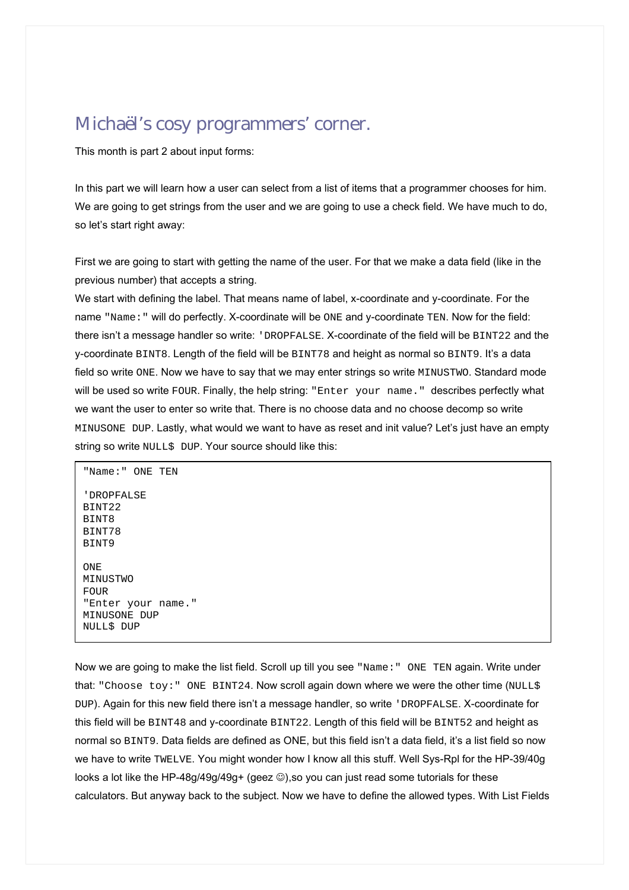### <span id="page-3-0"></span>Michaël's cosy programmers' corner.

This month is part 2 about input forms:

In this part we will learn how a user can select from a list of items that a programmer chooses for him. We are going to get strings from the user and we are going to use a check field. We have much to do, so let's start right away:

First we are going to start with getting the name of the user. For that we make a data field (like in the previous number) that accepts a string.

We start with defining the label. That means name of label, x-coordinate and y-coordinate. For the name "Name:" will do perfectly. X-coordinate will be ONE and y-coordinate TEN. Now for the field: there isn't a message handler so write: 'DROPFALSE. X-coordinate of the field will be BINT22 and the y-coordinate BINT8. Length of the field will be BINT78 and height as normal so BINT9. It's a data field so write ONE. Now we have to say that we may enter strings so write MINUSTWO. Standard mode will be used so write FOUR. Finally, the help string: "Enter your name." describes perfectly what we want the user to enter so write that. There is no choose data and no choose decomp so write MINUSONE DUP. Lastly, what would we want to have as reset and init value? Let's just have an empty string so write NULL\$ DUP. Your source should like this:

"Name:" ONE TEN 'DROPFALSE BINT22 BINT8 BINT78 BINT9 ONE MINUSTWO  $F$ OUR "Enter your name." MINUSONE DUP NULL\$ DUP

Now we are going to make the list field. Scroll up till you see "Name:" ONE TEN again. Write under that: "Choose toy: " ONE BINT24. Now scroll again down where we were the other time (NULL\$ DUP). Again for this new field there isn't a message handler, so write 'DROPFALSE. X-coordinate for this field will be BINT48 and y-coordinate BINT22. Length of this field will be BINT52 and height as normal so BINT9. Data fields are defined as ONE, but this field isn't a data field, it's a list field so now we have to write TWELVE. You might wonder how I know all this stuff. Well Sys-Rpl for the HP-39/40g looks a lot like the HP-48g/49g/49g+ (geez  $\circledcirc$ ),so you can just read some tutorials for these calculators. But anyway back to the subject. Now we have to define the allowed types. With List Fields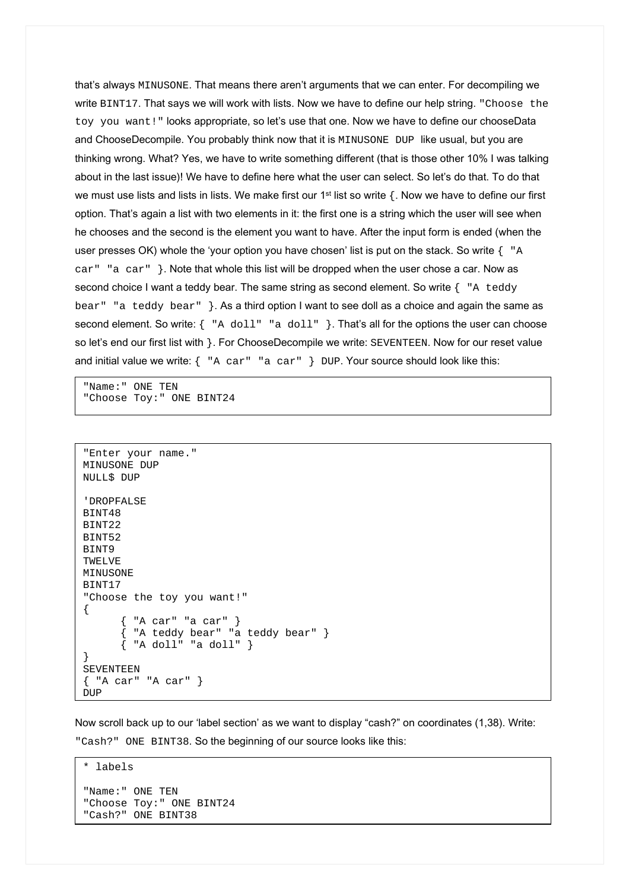that's always MINUSONE. That means there aren't arguments that we can enter. For decompiling we write BINT17. That says we will work with lists. Now we have to define our help string. "Choose the toy you want!" looks appropriate, so let's use that one. Now we have to define our chooseData and ChooseDecompile. You probably think now that it is MINUSONE DUP like usual, but you are thinking wrong. What? Yes, we have to write something different (that is those other 10% I was talking about in the last issue)! We have to define here what the user can select. So let's do that. To do that we must use lists and lists in lists. We make first our 1<sup>st</sup> list so write { Now we have to define our first option. That's again a list with two elements in it: the first one is a string which the user will see when he chooses and the second is the element you want to have. After the input form is ended (when the user presses OK) whole the 'your option you have chosen' list is put on the stack. So write  $\{-\mathbb{R}^n\}$ car" "a car"  $\}$ . Note that whole this list will be dropped when the user chose a car. Now as second choice I want a teddy bear. The same string as second element. So write { "A teddy bear" "a teddy bear" }. As a third option I want to see doll as a choice and again the same as second element. So write:  $\{$  "A doll"  $"$  a doll"  $\}$ . That's all for the options the user can choose so let's end our first list with }. For ChooseDecompile we write: SEVENTEEN. Now for our reset value and initial value we write: { "A car" "a car" } DUP. Your source should look like this:

"Name:" ONE TEN "Choose Toy:" ONE BINT24

```
"Enter your name." 
MINUSONE DUP 
NULL$ DUP 
'DROPFALSE 
BINT48 
BINT22 
BINT52 
BINT9 
TWELVE 
MINUSONE 
BINT17 
"Choose the toy you want!" 
{ 
        { "A car" "a car" } 
       \{ "A teddy bear" "a teddy bear" \}\{ "A doll" "a doll" \}} 
SEVENTEEN 
{ "A car" "A car" } 
DUP
```
Now scroll back up to our 'label section' as we want to display "cash?" on coordinates (1,38). Write: "Cash?" ONE BINT38. So the beginning of our source looks like this:

```
* labels 
"Name:" ONE TEN 
"Choose Toy:" ONE BINT24 
"Cash?" ONE BINT38
```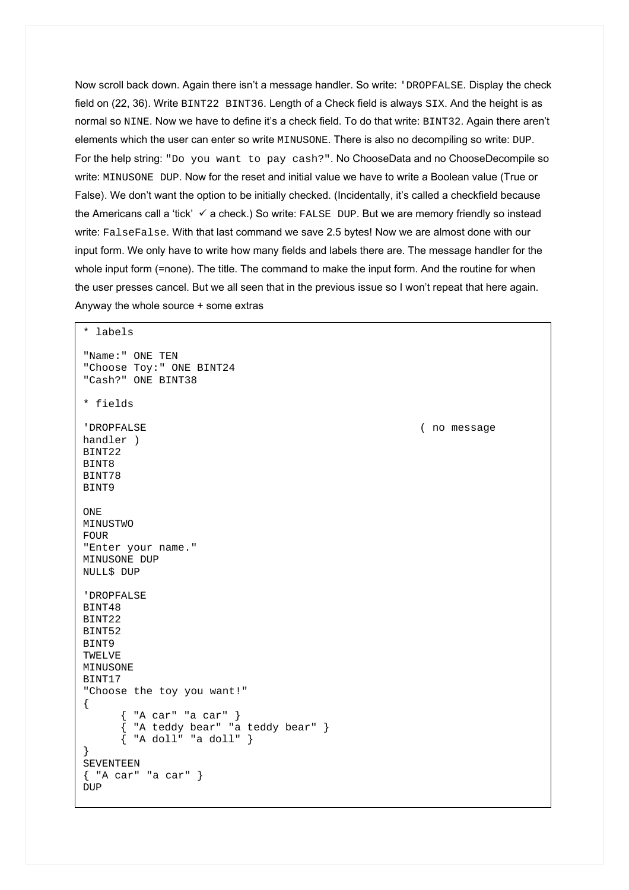Now scroll back down. Again there isn't a message handler. So write: 'DROPFALSE. Display the check field on (22, 36). Write BINT22 BINT36. Length of a Check field is always SIX. And the height is as normal so NINE. Now we have to define it's a check field. To do that write: BINT32. Again there aren't elements which the user can enter so write MINUSONE. There is also no decompiling so write: DUP. For the help string: "Do you want to pay cash?". No ChooseData and no ChooseDecompile so write: MINUSONE DUP. Now for the reset and initial value we have to write a Boolean value (True or False). We don't want the option to be initially checked. (Incidentally, it's called a checkfield because the Americans call a 'tick'  $\checkmark$  a check.) So write: FALSE DUP. But we are memory friendly so instead write: FalseFalse. With that last command we save 2.5 bytes! Now we are almost done with our input form. We only have to write how many fields and labels there are. The message handler for the whole input form (=none). The title. The command to make the input form. And the routine for when the user presses cancel. But we all seen that in the previous issue so I won't repeat that here again. Anyway the whole source + some extras

```
* labels 
"Name:" ONE TEN 
"Choose Toy:" ONE BINT24 
"Cash?" ONE BINT38 
* fields 
'DROPFALSE ( no message 
handler ) 
BINT22 
BINT8 
BINT78 
BINT9 
ONE 
MINUSTWO 
FOUR 
"Enter your name." 
MINUSONE DUP 
NULL$ DUP 
'DROPFALSE 
BINT48 
BINT22 
BINT52 
BINT9 
TWELVE 
MINUSONE
BINT17 
"Choose the toy you want!" 
{ 
         { "A car" "a car" } 
       { "A teddy bear" "a teddy bear" } 
      \{ "A doll" "a doll" \}} 
SEVENTEEN 
{ "A car" "a car" } 
DUP
```